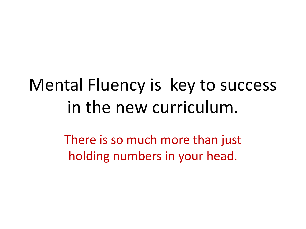# Mental Fluency is key to success in the new curriculum.

There is so much more than just holding numbers in your head.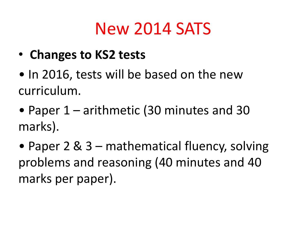# New 2014 SATS

- **Changes to KS2 tests**
- In 2016, tests will be based on the new curriculum.
- Paper 1 arithmetic (30 minutes and 30 marks).
- Paper 2 & 3 mathematical fluency, solving problems and reasoning (40 minutes and 40 marks per paper).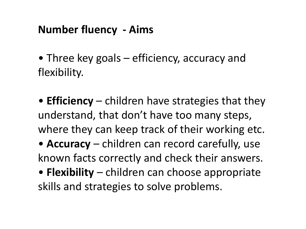### **Number fluency - Aims**

- Three key goals efficiency, accuracy and flexibility.
- **Efficiency**  children have strategies that they understand, that don't have too many steps, where they can keep track of their working etc.
- **Accuracy** children can record carefully, use known facts correctly and check their answers.
- **Flexibility**  children can choose appropriate skills and strategies to solve problems.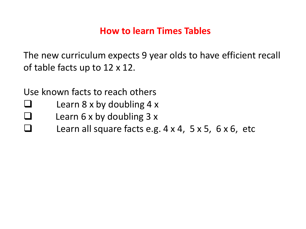#### **How to learn Times Tables**

The new curriculum expects 9 year olds to have efficient recall of table facts up to 12 x 12.

Use known facts to reach others

- Learn 8 x by doubling 4 x
- $\Box$  Learn 6 x by doubling 3 x
- $\Box$  Learn all square facts e.g.  $4 \times 4$ ,  $5 \times 5$ ,  $6 \times 6$ , etc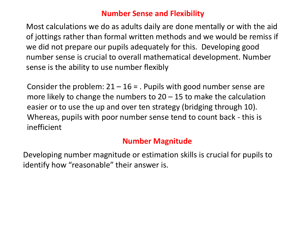#### **Number Sense and Flexibility**

Most calculations we do as adults daily are done mentally or with the aid of jottings rather than formal written methods and we would be remiss if we did not prepare our pupils adequately for this. Developing good number sense is crucial to overall mathematical development. Number sense is the ability to use number flexibly

Consider the problem:  $21 - 16 =$ . Pupils with good number sense are more likely to change the numbers to 20 – 15 to make the calculation easier or to use the up and over ten strategy (bridging through 10). Whereas, pupils with poor number sense tend to count back - this is inefficient

#### **Number Magnitude**

Developing number magnitude or estimation skills is crucial for pupils to identify how "reasonable" their answer is.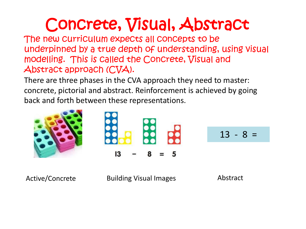# Concrete, Visual, Abstract

The new curriculum expects all concepts to be underpinned by a true depth of understanding, using visual modelling. This is called the Concrete, Visual and Abstract approach (CVA).

There are three phases in the CVA approach they need to master: concrete, pictorial and abstract. Reinforcement is achieved by going back and forth between these representations.

13 - 8 =

Active/Concrete Building Visual Images Abstract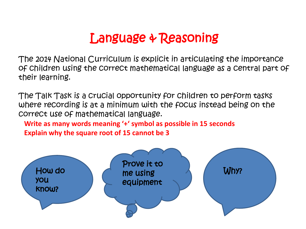## Language & Reasoning

The 2014 National Curriculum is explicit in articulating the importance of children using the correct mathematical language as a central part of their learning.

The Talk Task is a crucial opportunity for children to perform tasks where recording is at a minimum with the focus instead being on the correct use of mathematical language.

**Write as many words meaning '+' symbol as possible in 15 seconds Explain why the square root of 15 cannot be 3**

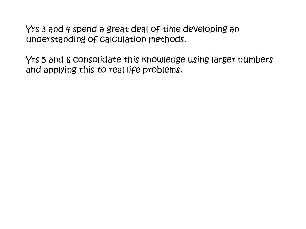Yrs 3 and 4 spend a great deal of time developing an understanding of calculation methods.

Yrs 5 and 6 consolidate this knowledge using larger numbers and applying this to real life problems.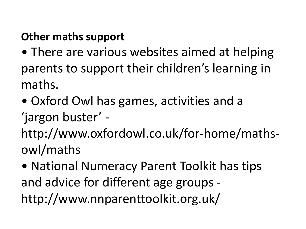### **Other maths support**

- There are various websites aimed at helping parents to support their children's learning in maths.
- Oxford Owl has games, activities and a
- 'jargon buster' -
- http://www.oxfordowl.co.uk/for-home/mathsowl/maths
- National Numeracy Parent Toolkit has tips and advice for different age groups http://www.nnparenttoolkit.org.uk/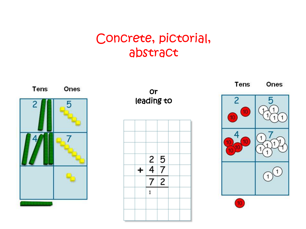### Concrete, pictorial, abstract



or leading to



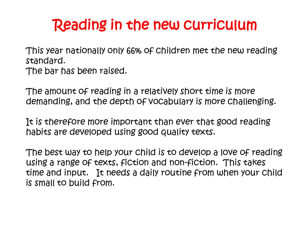## Reading in the new curriculum

This year nationally only 66% of children met the new reading standard. The bar has been raised.

The amount of reading in a relatively short time is more demanding, and the depth of vocabulary is more challenging.

It is therefore more important than ever that good reading habits are developed using good quality texts.

The best way to help your child is to develop a love of reading using a range of texts, fiction and non-fiction. This takes time and input. It needs a daily routine from when your child is small to build from.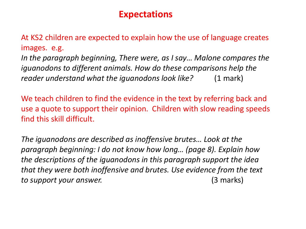#### **Expectations**

At KS2 children are expected to explain how the use of language creates images. e.g.

*In the paragraph beginning, There were, as I say… Malone compares the iguanodons to different animals. How do these comparisons help the reader understand what the iguanodons look like?* (1 mark)

We teach children to find the evidence in the text by referring back and use a quote to support their opinion. Children with slow reading speeds find this skill difficult.

*The iguanodons are described as inoffensive brutes… Look at the paragraph beginning: I do not know how long… (page 8). Explain how the descriptions of the iguanodons in this paragraph support the idea that they were both inoffensive and brutes. Use evidence from the text to support your answer.* (3 marks)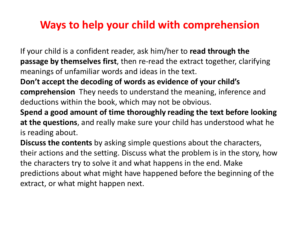### **Ways to help your child with comprehension**

If your child is a confident reader, ask him/her to **read through the passage by themselves first**, then re-read the extract together, clarifying meanings of unfamiliar words and ideas in the text.

**Don't accept the decoding of words as evidence of your child's comprehension** They needs to understand the meaning, inference and deductions within the book, which may not be obvious.

**Spend a good amount of time thoroughly reading the text before looking at the questions**, and really make sure your child has understood what he is reading about.

**Discuss the contents** by asking simple questions about the characters, their actions and the setting. Discuss what the problem is in the story, how the characters try to solve it and what happens in the end. Make predictions about what might have happened before the beginning of the extract, or what might happen next.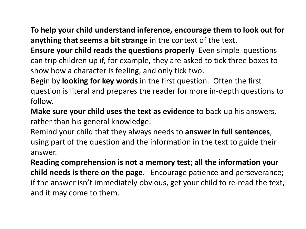**To help your child understand inference, encourage them to look out for anything that seems a bit strange** in the context of the text.

**Ensure your child reads the questions properly** Even simple questions can trip children up if, for example, they are asked to tick three boxes to show how a character is feeling, and only tick two.

Begin by **looking for key words** in the first question. Often the first question is literal and prepares the reader for more in-depth questions to follow.

**Make sure your child uses the text as evidence** to back up his answers, rather than his general knowledge.

Remind your child that they always needs to **answer in full sentences**, using part of the question and the information in the text to guide their answer.

**Reading comprehension is not a memory test; all the information your child needs is there on the page**. Encourage patience and perseverance; if the answer isn't immediately obvious, get your child to re-read the text, and it may come to them.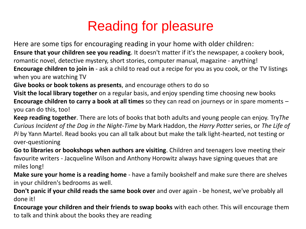## Reading for pleasure

Here are some tips for encouraging reading in your home with older children: **Ensure that your children see you reading**. It doesn't matter if it's the newspaper, a cookery book, romantic novel, detective mystery, short stories, computer manual, magazine - anything! **Encourage children to join in** - ask a child to read out a recipe for you as you cook, or the TV listings when you are watching TV

**Give books or book tokens as presents**, and encourage others to do so

**Visit the local library together** on a regular basis, and enjoy spending time choosing new books **Encourage children to carry a book at all times** so they can read on journeys or in spare moments – you can do this, too!

**Keep reading together**. There are lots of books that both adults and young people can enjoy. Try*The Curious Incident of the Dog in the Night-Time* by Mark Haddon, the *Harry Potter* series, or *The Life of Pi* by Yann Martel. Read books you can all talk about but make the talk light-hearted, not testing or over-questioning

**Go to libraries or bookshops when authors are visiting**. Children and teenagers love meeting their favourite writers - Jacqueline Wilson and Anthony Horowitz always have signing queues that are miles long!

**Make sure your home is a reading home** - have a family bookshelf and make sure there are shelves in your children's bedrooms as well.

**Don't panic if your child reads the same book over** and over again - be honest, we've probably all done it!

**Encourage your children and their friends to swap books** with each other. This will encourage them to talk and think about the books they are reading